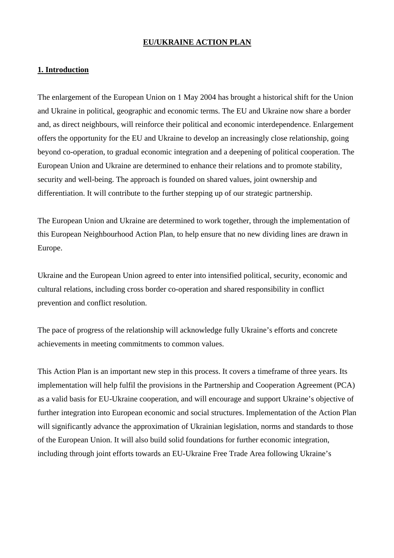#### **EU/UKRAINE ACTION PLAN**

## **1. Introduction**

The enlargement of the European Union on 1 May 2004 has brought a historical shift for the Union and Ukraine in political, geographic and economic terms. The EU and Ukraine now share a border and, as direct neighbours, will reinforce their political and economic interdependence. Enlargement offers the opportunity for the EU and Ukraine to develop an increasingly close relationship, going beyond co-operation, to gradual economic integration and a deepening of political cooperation. The European Union and Ukraine are determined to enhance their relations and to promote stability, security and well-being. The approach is founded on shared values, joint ownership and differentiation. It will contribute to the further stepping up of our strategic partnership.

The European Union and Ukraine are determined to work together, through the implementation of this European Neighbourhood Action Plan, to help ensure that no new dividing lines are drawn in Europe.

Ukraine and the European Union agreed to enter into intensified political, security, economic and cultural relations, including cross border co-operation and shared responsibility in conflict prevention and conflict resolution.

The pace of progress of the relationship will acknowledge fully Ukraine's efforts and concrete achievements in meeting commitments to common values.

This Action Plan is an important new step in this process. It covers a timeframe of three years. Its implementation will help fulfil the provisions in the Partnership and Cooperation Agreement (PCA) as a valid basis for EU-Ukraine cooperation, and will encourage and support Ukraine's objective of further integration into European economic and social structures. Implementation of the Action Plan will significantly advance the approximation of Ukrainian legislation, norms and standards to those of the European Union. It will also build solid foundations for further economic integration, including through joint efforts towards an EU-Ukraine Free Trade Area following Ukraine's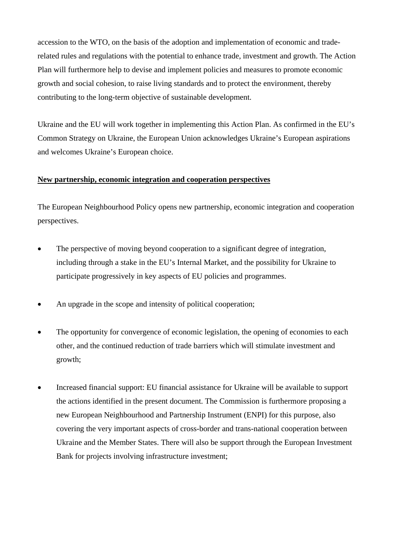accession to the WTO, on the basis of the adoption and implementation of economic and traderelated rules and regulations with the potential to enhance trade, investment and growth. The Action Plan will furthermore help to devise and implement policies and measures to promote economic growth and social cohesion, to raise living standards and to protect the environment, thereby contributing to the long-term objective of sustainable development.

Ukraine and the EU will work together in implementing this Action Plan. As confirmed in the EU's Common Strategy on Ukraine, the European Union acknowledges Ukraine's European aspirations and welcomes Ukraine's European choice.

## **New partnership, economic integration and cooperation perspectives**

The European Neighbourhood Policy opens new partnership, economic integration and cooperation perspectives.

- The perspective of moving beyond cooperation to a significant degree of integration, including through a stake in the EU's Internal Market, and the possibility for Ukraine to participate progressively in key aspects of EU policies and programmes.
- An upgrade in the scope and intensity of political cooperation;
- The opportunity for convergence of economic legislation, the opening of economies to each other, and the continued reduction of trade barriers which will stimulate investment and growth;
- Increased financial support: EU financial assistance for Ukraine will be available to support the actions identified in the present document. The Commission is furthermore proposing a new European Neighbourhood and Partnership Instrument (ENPI) for this purpose, also covering the very important aspects of cross-border and trans-national cooperation between Ukraine and the Member States. There will also be support through the European Investment Bank for projects involving infrastructure investment;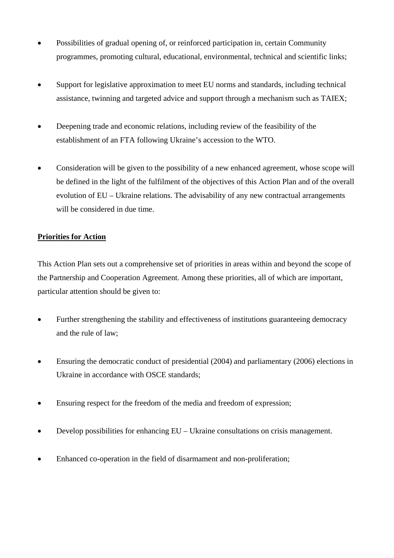- Possibilities of gradual opening of, or reinforced participation in, certain Community programmes, promoting cultural, educational, environmental, technical and scientific links;
- Support for legislative approximation to meet EU norms and standards, including technical assistance, twinning and targeted advice and support through a mechanism such as TAIEX;
- Deepening trade and economic relations, including review of the feasibility of the establishment of an FTA following Ukraine's accession to the WTO.
- Consideration will be given to the possibility of a new enhanced agreement, whose scope will be defined in the light of the fulfilment of the objectives of this Action Plan and of the overall evolution of EU – Ukraine relations. The advisability of any new contractual arrangements will be considered in due time.

# **Priorities for Action**

This Action Plan sets out a comprehensive set of priorities in areas within and beyond the scope of the Partnership and Cooperation Agreement. Among these priorities, all of which are important, particular attention should be given to:

- Further strengthening the stability and effectiveness of institutions guaranteeing democracy and the rule of law;
- Ensuring the democratic conduct of presidential (2004) and parliamentary (2006) elections in Ukraine in accordance with OSCE standards;
- Ensuring respect for the freedom of the media and freedom of expression;
- Develop possibilities for enhancing EU Ukraine consultations on crisis management.
- Enhanced co-operation in the field of disarmament and non-proliferation;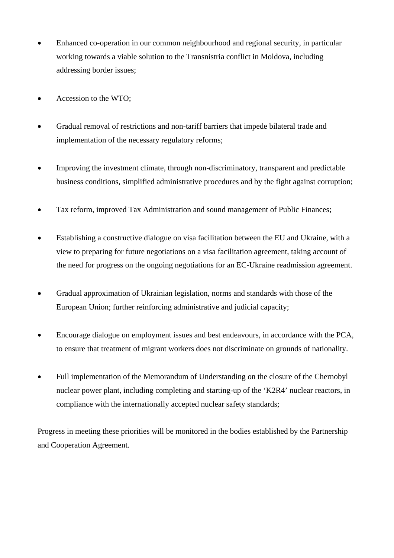- Enhanced co-operation in our common neighbourhood and regional security, in particular working towards a viable solution to the Transnistria conflict in Moldova, including addressing border issues;
- Accession to the WTO;
- Gradual removal of restrictions and non-tariff barriers that impede bilateral trade and implementation of the necessary regulatory reforms;
- Improving the investment climate, through non-discriminatory, transparent and predictable business conditions, simplified administrative procedures and by the fight against corruption;
- Tax reform, improved Tax Administration and sound management of Public Finances;
- Establishing a constructive dialogue on visa facilitation between the EU and Ukraine, with a view to preparing for future negotiations on a visa facilitation agreement, taking account of the need for progress on the ongoing negotiations for an EC-Ukraine readmission agreement.
- Gradual approximation of Ukrainian legislation, norms and standards with those of the European Union; further reinforcing administrative and judicial capacity;
- Encourage dialogue on employment issues and best endeavours, in accordance with the PCA, to ensure that treatment of migrant workers does not discriminate on grounds of nationality.
- Full implementation of the Memorandum of Understanding on the closure of the Chernobyl nuclear power plant, including completing and starting-up of the 'K2R4' nuclear reactors, in compliance with the internationally accepted nuclear safety standards;

Progress in meeting these priorities will be monitored in the bodies established by the Partnership and Cooperation Agreement.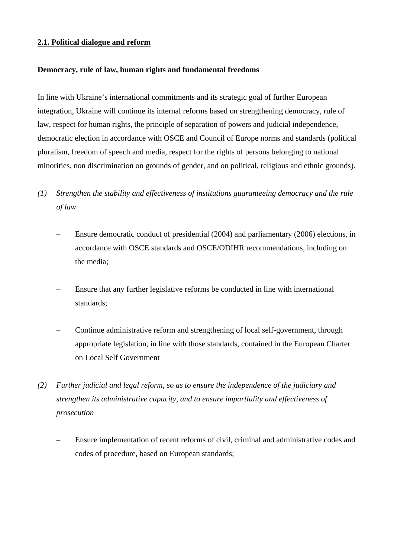#### **2.1. Political dialogue and reform**

#### **Democracy, rule of law, human rights and fundamental freedoms**

In line with Ukraine's international commitments and its strategic goal of further European integration, Ukraine will continue its internal reforms based on strengthening democracy, rule of law, respect for human rights, the principle of separation of powers and judicial independence, democratic election in accordance with OSCE and Council of Europe norms and standards (political pluralism, freedom of speech and media, respect for the rights of persons belonging to national minorities, non discrimination on grounds of gender, and on political, religious and ethnic grounds).

- *(1) Strengthen the stability and effectiveness of institutions guaranteeing democracy and the rule of law* 
	- Ensure democratic conduct of presidential (2004) and parliamentary (2006) elections, in accordance with OSCE standards and OSCE/ODIHR recommendations, including on the media;
	- Ensure that any further legislative reforms be conducted in line with international standards;
	- Continue administrative reform and strengthening of local self-government, through appropriate legislation, in line with those standards, contained in the European Charter on Local Self Government
- *(2) Further judicial and legal reform, so as to ensure the independence of the judiciary and strengthen its administrative capacity, and to ensure impartiality and effectiveness of prosecution* 
	- Ensure implementation of recent reforms of civil, criminal and administrative codes and codes of procedure, based on European standards;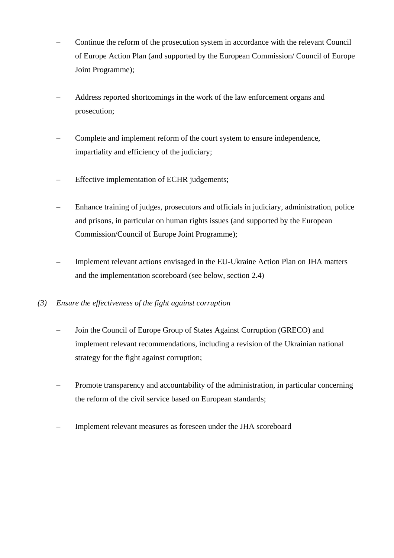- Continue the reform of the prosecution system in accordance with the relevant Council of Europe Action Plan (and supported by the European Commission/ Council of Europe Joint Programme);
- Address reported shortcomings in the work of the law enforcement organs and prosecution;
- Complete and implement reform of the court system to ensure independence, impartiality and efficiency of the judiciary;
- Effective implementation of ECHR judgements;
- Enhance training of judges, prosecutors and officials in judiciary, administration, police and prisons, in particular on human rights issues (and supported by the European Commission/Council of Europe Joint Programme);
- Implement relevant actions envisaged in the EU-Ukraine Action Plan on JHA matters and the implementation scoreboard (see below, section 2.4)
- *(3) Ensure the effectiveness of the fight against corruption* 
	- Join the Council of Europe Group of States Against Corruption (GRECO) and implement relevant recommendations, including a revision of the Ukrainian national strategy for the fight against corruption;
	- Promote transparency and accountability of the administration, in particular concerning the reform of the civil service based on European standards;
	- Implement relevant measures as foreseen under the JHA scoreboard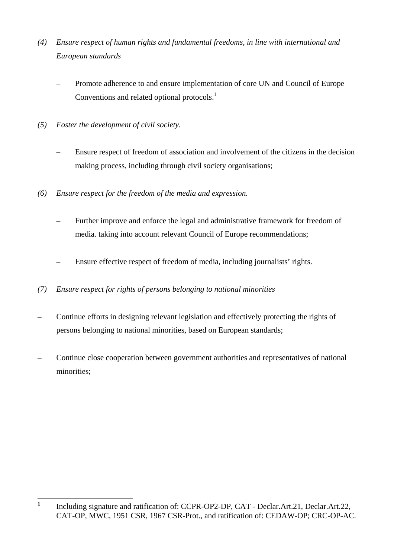- *(4) Ensure respect of human rights and fundamental freedoms, in line with international and European standards* 
	- Promote adherence to and ensure implementation of core UN and Council of Europe Conventions and related optional protocols.<sup>1</sup>
- *(5) Foster the development of civil society.* 
	- Ensure respect of freedom of association and involvement of the citizens in the decision making process, including through civil society organisations;
- *(6) Ensure respect for the freedom of the media and expression.* 
	- Further improve and enforce the legal and administrative framework for freedom of media. taking into account relevant Council of Europe recommendations;
	- Ensure effective respect of freedom of media, including journalists' rights.
- *(7) Ensure respect for rights of persons belonging to national minorities*
- Continue efforts in designing relevant legislation and effectively protecting the rights of persons belonging to national minorities, based on European standards;
- Continue close cooperation between government authorities and representatives of national minorities;

 **1** Including signature and ratification of: CCPR-OP2-DP, CAT - Declar.Art.21, Declar.Art.22, CAT-OP, MWC, 1951 CSR, 1967 CSR-Prot., and ratification of: CEDAW-OP; CRC-OP-AC.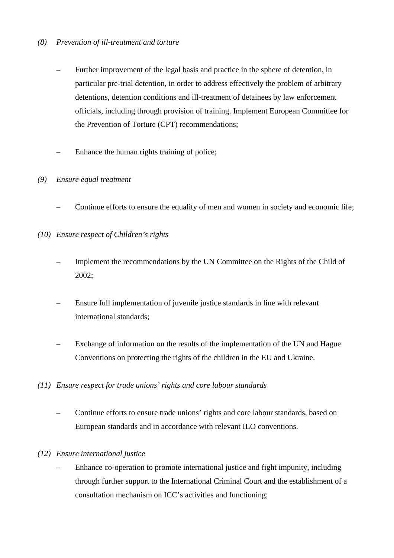# *(8) Prevention of ill-treatment and torture*

- Further improvement of the legal basis and practice in the sphere of detention, in particular pre-trial detention, in order to address effectively the problem of arbitrary detentions, detention conditions and ill-treatment of detainees by law enforcement officials, including through provision of training. Implement European Committee for the Prevention of Torture (CPT) recommendations;
- Enhance the human rights training of police;

## *(9) Ensure equal treatment*

- Continue efforts to ensure the equality of men and women in society and economic life;
- *(10) Ensure respect of Children's rights* 
	- Implement the recommendations by the UN Committee on the Rights of the Child of 2002;
	- Ensure full implementation of juvenile justice standards in line with relevant international standards;
	- Exchange of information on the results of the implementation of the UN and Hague Conventions on protecting the rights of the children in the EU and Ukraine.

#### *(11) Ensure respect for trade unions' rights and core labour standards*

 – Continue efforts to ensure trade unions' rights and core labour standards, based on European standards and in accordance with relevant ILO conventions.

#### *(12) Ensure international justice*

 – Enhance co-operation to promote international justice and fight impunity, including through further support to the International Criminal Court and the establishment of a consultation mechanism on ICC's activities and functioning;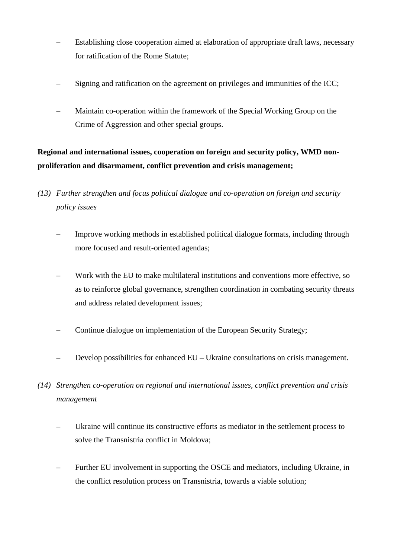- Establishing close cooperation aimed at elaboration of appropriate draft laws, necessary for ratification of the Rome Statute;
- Signing and ratification on the agreement on privileges and immunities of the ICC;
- Maintain co-operation within the framework of the Special Working Group on the Crime of Aggression and other special groups.

# **Regional and international issues, cooperation on foreign and security policy, WMD nonproliferation and disarmament, conflict prevention and crisis management;**

- *(13) Further strengthen and focus political dialogue and co-operation on foreign and security policy issues* 
	- Improve working methods in established political dialogue formats, including through more focused and result-oriented agendas;
	- Work with the EU to make multilateral institutions and conventions more effective, so as to reinforce global governance, strengthen coordination in combating security threats and address related development issues;
	- Continue dialogue on implementation of the European Security Strategy;
	- Develop possibilities for enhanced EU Ukraine consultations on crisis management.
- *(14) Strengthen co-operation on regional and international issues, conflict prevention and crisis management* 
	- Ukraine will continue its constructive efforts as mediator in the settlement process to solve the Transnistria conflict in Moldova;
	- Further EU involvement in supporting the OSCE and mediators, including Ukraine, in the conflict resolution process on Transnistria, towards a viable solution;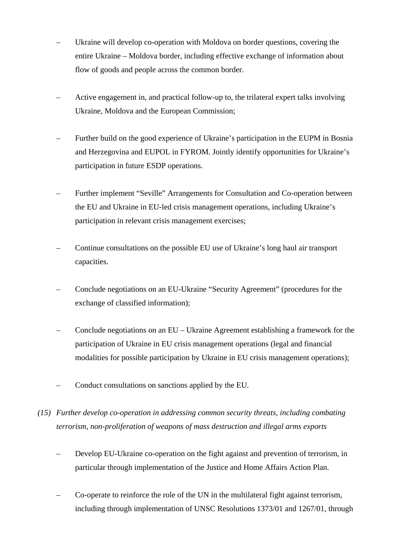- Ukraine will develop co-operation with Moldova on border questions, covering the entire Ukraine – Moldova border, including effective exchange of information about flow of goods and people across the common border.
- Active engagement in, and practical follow-up to, the trilateral expert talks involving Ukraine, Moldova and the European Commission;
- Further build on the good experience of Ukraine's participation in the EUPM in Bosnia and Herzegovina and EUPOL in FYROM. Jointly identify opportunities for Ukraine's participation in future ESDP operations.
- Further implement "Seville" Arrangements for Consultation and Co-operation between the EU and Ukraine in EU-led crisis management operations, including Ukraine's participation in relevant crisis management exercises;
- Continue consultations on the possible EU use of Ukraine's long haul air transport capacities.
- Conclude negotiations on an EU-Ukraine "Security Agreement" (procedures for the exchange of classified information);
- Conclude negotiations on an EU Ukraine Agreement establishing a framework for the participation of Ukraine in EU crisis management operations (legal and financial modalities for possible participation by Ukraine in EU crisis management operations);
- Conduct consultations on sanctions applied by the EU.
- *(15) Further develop co-operation in addressing common security threats, including combating terrorism, non-proliferation of weapons of mass destruction and illegal arms exports* 
	- Develop EU-Ukraine co-operation on the fight against and prevention of terrorism, in particular through implementation of the Justice and Home Affairs Action Plan.
	- Co-operate to reinforce the role of the UN in the multilateral fight against terrorism, including through implementation of UNSC Resolutions 1373/01 and 1267/01, through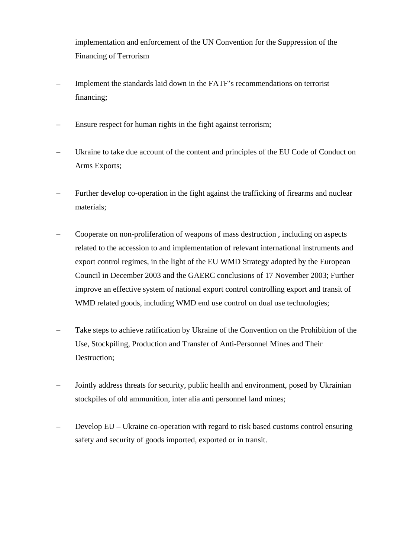implementation and enforcement of the UN Convention for the Suppression of the Financing of Terrorism

- Implement the standards laid down in the FATF's recommendations on terrorist financing;
- Ensure respect for human rights in the fight against terrorism;
- Ukraine to take due account of the content and principles of the EU Code of Conduct on Arms Exports;
- Further develop co-operation in the fight against the trafficking of firearms and nuclear materials;
- Cooperate on non-proliferation of weapons of mass destruction , including on aspects related to the accession to and implementation of relevant international instruments and export control regimes, in the light of the EU WMD Strategy adopted by the European Council in December 2003 and the GAERC conclusions of 17 November 2003; Further improve an effective system of national export control controlling export and transit of WMD related goods, including WMD end use control on dual use technologies;
- Take steps to achieve ratification by Ukraine of the Convention on the Prohibition of the Use, Stockpiling, Production and Transfer of Anti-Personnel Mines and Their Destruction;
- Jointly address threats for security, public health and environment, posed by Ukrainian stockpiles of old ammunition, inter alia anti personnel land mines;
- Develop EU Ukraine co-operation with regard to risk based customs control ensuring safety and security of goods imported, exported or in transit.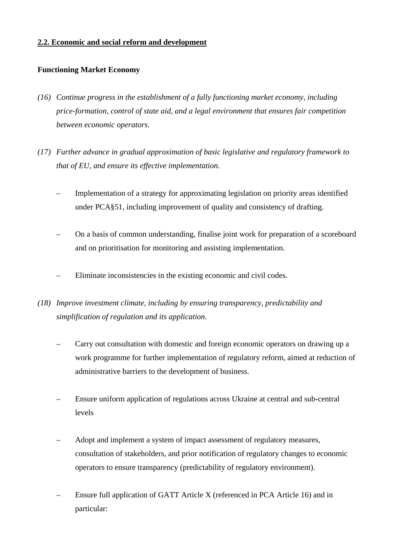## **2.2. Economic and social reform and development**

## **Functioning Market Economy**

- *(16) Continue progress in the establishment of a fully functioning market economy, including price-formation, control of state aid, and a legal environment that ensures fair competition between economic operators.*
- *(17) Further advance in gradual approximation of basic legislative and regulatory framework to that of EU, and ensure its effective implementation.* 
	- Implementation of a strategy for approximating legislation on priority areas identified under PCA§51, including improvement of quality and consistency of drafting.
	- On a basis of common understanding, finalise joint work for preparation of a scoreboard and on prioritisation for monitoring and assisting implementation.
	- Eliminate inconsistencies in the existing economic and civil codes.
- *(18) Improve investment climate, including by ensuring transparency, predictability and simplification of regulation and its application.* 
	- Carry out consultation with domestic and foreign economic operators on drawing up a work programme for further implementation of regulatory reform, aimed at reduction of administrative barriers to the development of business.
	- Ensure uniform application of regulations across Ukraine at central and sub-central levels
	- Adopt and implement a system of impact assessment of regulatory measures, consultation of stakeholders, and prior notification of regulatory changes to economic operators to ensure transparency (predictability of regulatory environment).
	- Ensure full application of GATT Article X (referenced in PCA Article 16) and in particular: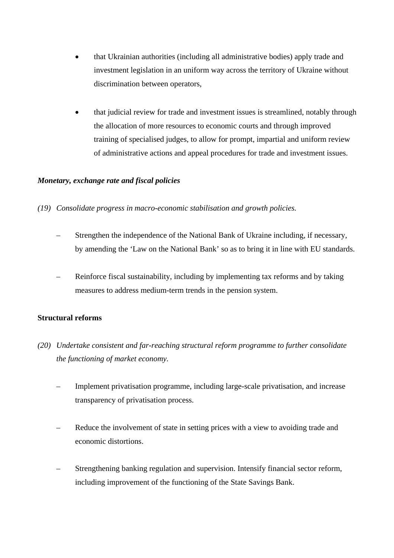- that Ukrainian authorities (including all administrative bodies) apply trade and investment legislation in an uniform way across the territory of Ukraine without discrimination between operators,
- that judicial review for trade and investment issues is streamlined, notably through the allocation of more resources to economic courts and through improved training of specialised judges, to allow for prompt, impartial and uniform review of administrative actions and appeal procedures for trade and investment issues.

# *Monetary, exchange rate and fiscal policies*

- *(19) Consolidate progress in macro-economic stabilisation and growth policies.* 
	- Strengthen the independence of the National Bank of Ukraine including, if necessary, by amending the 'Law on the National Bank' so as to bring it in line with EU standards.
	- Reinforce fiscal sustainability, including by implementing tax reforms and by taking measures to address medium-term trends in the pension system.

# **Structural reforms**

- *(20) Undertake consistent and far-reaching structural reform programme to further consolidate the functioning of market economy.* 
	- Implement privatisation programme, including large-scale privatisation, and increase transparency of privatisation process.
	- Reduce the involvement of state in setting prices with a view to avoiding trade and economic distortions.
	- Strengthening banking regulation and supervision. Intensify financial sector reform, including improvement of the functioning of the State Savings Bank.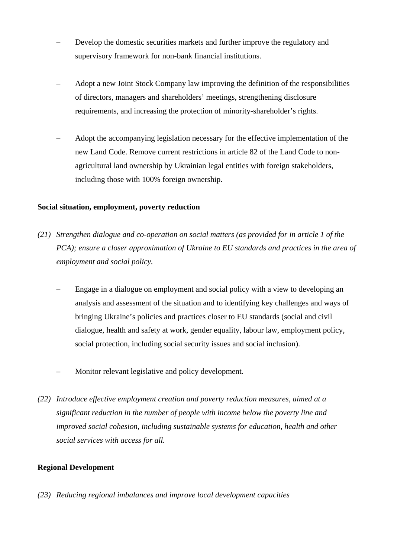- Develop the domestic securities markets and further improve the regulatory and supervisory framework for non-bank financial institutions.
- Adopt a new Joint Stock Company law improving the definition of the responsibilities of directors, managers and shareholders' meetings, strengthening disclosure requirements, and increasing the protection of minority-shareholder's rights.
- Adopt the accompanying legislation necessary for the effective implementation of the new Land Code. Remove current restrictions in article 82 of the Land Code to nonagricultural land ownership by Ukrainian legal entities with foreign stakeholders, including those with 100% foreign ownership.

# **Social situation, employment, poverty reduction**

- *(21) Strengthen dialogue and co-operation on social matters (as provided for in article 1 of the PCA*); ensure a closer approximation of Ukraine to EU standards and practices in the area of *employment and social policy.* 
	- Engage in a dialogue on employment and social policy with a view to developing an analysis and assessment of the situation and to identifying key challenges and ways of bringing Ukraine's policies and practices closer to EU standards (social and civil dialogue, health and safety at work, gender equality, labour law, employment policy, social protection, including social security issues and social inclusion).
	- Monitor relevant legislative and policy development.
- *(22) Introduce effective employment creation and poverty reduction measures, aimed at a significant reduction in the number of people with income below the poverty line and improved social cohesion, including sustainable systems for education, health and other social services with access for all.*

# **Regional Development**

*(23) Reducing regional imbalances and improve local development capacities*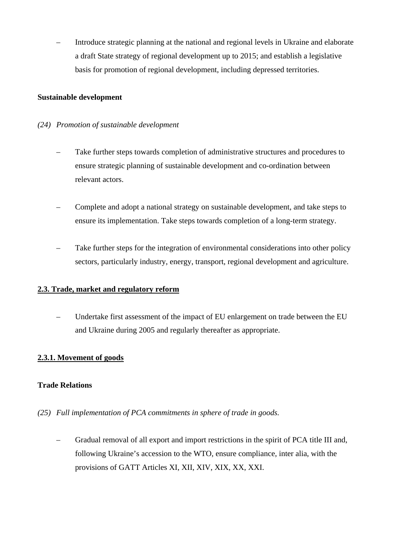– Introduce strategic planning at the national and regional levels in Ukraine and elaborate a draft State strategy of regional development up to 2015; and establish a legislative basis for promotion of regional development, including depressed territories.

## **Sustainable development**

## *(24) Promotion of sustainable development*

- Take further steps towards completion of administrative structures and procedures to ensure strategic planning of sustainable development and co-ordination between relevant actors.
- Complete and adopt a national strategy on sustainable development, and take steps to ensure its implementation. Take steps towards completion of a long-term strategy.
- Take further steps for the integration of environmental considerations into other policy sectors, particularly industry, energy, transport, regional development and agriculture.

# **2.3. Trade, market and regulatory reform**

 – Undertake first assessment of the impact of EU enlargement on trade between the EU and Ukraine during 2005 and regularly thereafter as appropriate.

# **2.3.1. Movement of goods**

#### **Trade Relations**

# *(25) Full implementation of PCA commitments in sphere of trade in goods.*

 – Gradual removal of all export and import restrictions in the spirit of PCA title III and, following Ukraine's accession to the WTO, ensure compliance, inter alia, with the provisions of GATT Articles XI, XII, XIV, XIX, XX, XXI.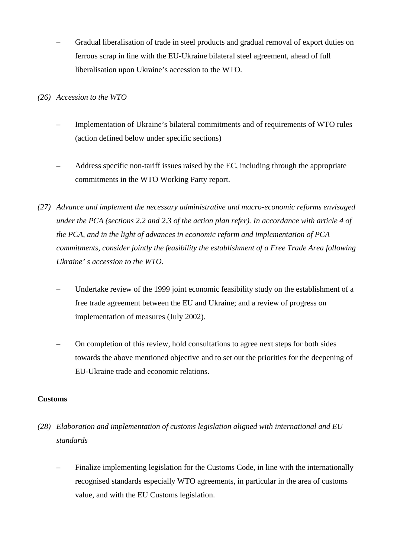– Gradual liberalisation of trade in steel products and gradual removal of export duties on ferrous scrap in line with the EU-Ukraine bilateral steel agreement, ahead of full liberalisation upon Ukraine's accession to the WTO.

*(26) Accession to the WTO* 

- Implementation of Ukraine's bilateral commitments and of requirements of WTO rules (action defined below under specific sections)
- Address specific non-tariff issues raised by the EC, including through the appropriate commitments in the WTO Working Party report.
- *(27) Advance and implement the necessary administrative and macro-economic reforms envisaged under the PCA (sections 2.2 and 2.3 of the action plan refer). In accordance with article 4 of the PCA, and in the light of advances in economic reform and implementation of PCA commitments, consider jointly the feasibility the establishment of a Free Trade Area following Ukraine' s accession to the WTO.* 
	- Undertake review of the 1999 joint economic feasibility study on the establishment of a free trade agreement between the EU and Ukraine; and a review of progress on implementation of measures (July 2002).
	- On completion of this review, hold consultations to agree next steps for both sides towards the above mentioned objective and to set out the priorities for the deepening of EU-Ukraine trade and economic relations.

# **Customs**

- *(28) Elaboration and implementation of customs legislation aligned with international and EU standards* 
	- Finalize implementing legislation for the Customs Code, in line with the internationally recognised standards especially WTO agreements, in particular in the area of customs value, and with the EU Customs legislation.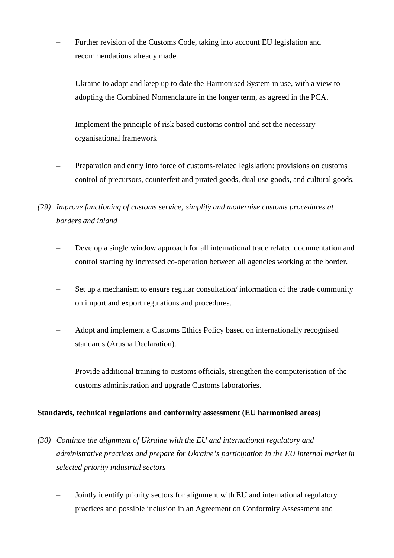- Further revision of the Customs Code, taking into account EU legislation and recommendations already made.
- Ukraine to adopt and keep up to date the Harmonised System in use, with a view to adopting the Combined Nomenclature in the longer term, as agreed in the PCA.
- Implement the principle of risk based customs control and set the necessary organisational framework
- Preparation and entry into force of customs-related legislation: provisions on customs control of precursors, counterfeit and pirated goods, dual use goods, and cultural goods.
- *(29) Improve functioning of customs service; simplify and modernise customs procedures at borders and inland* 
	- Develop a single window approach for all international trade related documentation and control starting by increased co-operation between all agencies working at the border.
	- Set up a mechanism to ensure regular consultation/ information of the trade community on import and export regulations and procedures.
	- Adopt and implement a Customs Ethics Policy based on internationally recognised standards (Arusha Declaration).
	- Provide additional training to customs officials, strengthen the computerisation of the customs administration and upgrade Customs laboratories.

# **Standards, technical regulations and conformity assessment (EU harmonised areas)**

- *(30) Continue the alignment of Ukraine with the EU and international regulatory and administrative practices and prepare for Ukraine's participation in the EU internal market in selected priority industrial sectors* 
	- Jointly identify priority sectors for alignment with EU and international regulatory practices and possible inclusion in an Agreement on Conformity Assessment and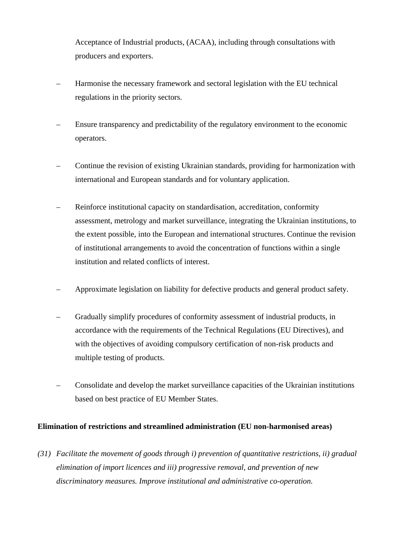Acceptance of Industrial products, (ACAA), including through consultations with producers and exporters.

- Harmonise the necessary framework and sectoral legislation with the EU technical regulations in the priority sectors.
- Ensure transparency and predictability of the regulatory environment to the economic operators.
- Continue the revision of existing Ukrainian standards, providing for harmonization with international and European standards and for voluntary application.
- Reinforce institutional capacity on standardisation, accreditation, conformity assessment, metrology and market surveillance, integrating the Ukrainian institutions, to the extent possible, into the European and international structures. Continue the revision of institutional arrangements to avoid the concentration of functions within a single institution and related conflicts of interest.
- Approximate legislation on liability for defective products and general product safety.
- Gradually simplify procedures of conformity assessment of industrial products, in accordance with the requirements of the Technical Regulations (EU Directives), and with the objectives of avoiding compulsory certification of non-risk products and multiple testing of products.
- Consolidate and develop the market surveillance capacities of the Ukrainian institutions based on best practice of EU Member States.

# **Elimination of restrictions and streamlined administration (EU non-harmonised areas)**

*(31) Facilitate the movement of goods through i) prevention of quantitative restrictions, ii) gradual elimination of import licences and iii) progressive removal, and prevention of new discriminatory measures. Improve institutional and administrative co-operation.*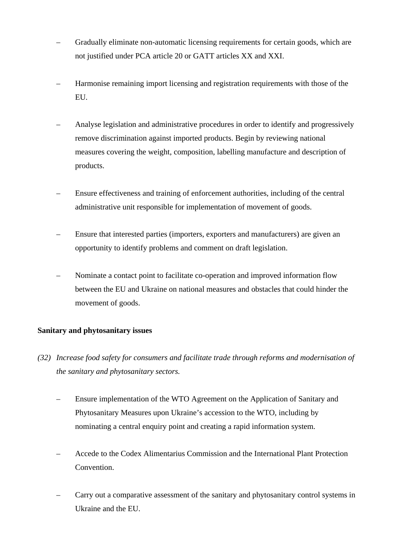- Gradually eliminate non-automatic licensing requirements for certain goods, which are not justified under PCA article 20 or GATT articles XX and XXI.
- Harmonise remaining import licensing and registration requirements with those of the EU.
- Analyse legislation and administrative procedures in order to identify and progressively remove discrimination against imported products. Begin by reviewing national measures covering the weight, composition, labelling manufacture and description of products.
- Ensure effectiveness and training of enforcement authorities, including of the central administrative unit responsible for implementation of movement of goods.
- Ensure that interested parties (importers, exporters and manufacturers) are given an opportunity to identify problems and comment on draft legislation.
- Nominate a contact point to facilitate co-operation and improved information flow between the EU and Ukraine on national measures and obstacles that could hinder the movement of goods.

# **Sanitary and phytosanitary issues**

- *(32) Increase food safety for consumers and facilitate trade through reforms and modernisation of the sanitary and phytosanitary sectors.* 
	- Ensure implementation of the WTO Agreement on the Application of Sanitary and Phytosanitary Measures upon Ukraine's accession to the WTO, including by nominating a central enquiry point and creating a rapid information system.
	- Accede to the Codex Alimentarius Commission and the International Plant Protection Convention.
	- Carry out a comparative assessment of the sanitary and phytosanitary control systems in Ukraine and the EU.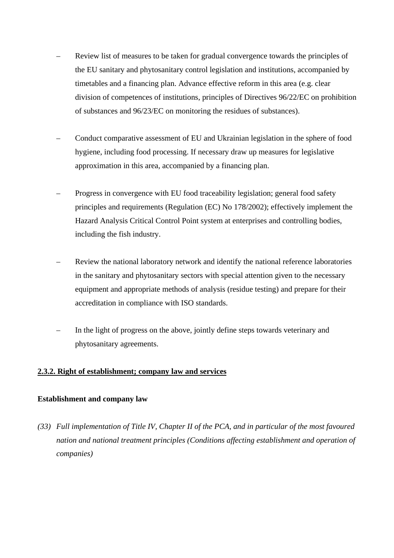- Review list of measures to be taken for gradual convergence towards the principles of the EU sanitary and phytosanitary control legislation and institutions, accompanied by timetables and a financing plan. Advance effective reform in this area (e.g. clear division of competences of institutions, principles of Directives 96/22/EC on prohibition of substances and 96/23/EC on monitoring the residues of substances).
- Conduct comparative assessment of EU and Ukrainian legislation in the sphere of food hygiene, including food processing. If necessary draw up measures for legislative approximation in this area, accompanied by a financing plan.
- Progress in convergence with EU food traceability legislation; general food safety principles and requirements (Regulation (EC) No 178/2002); effectively implement the Hazard Analysis Critical Control Point system at enterprises and controlling bodies, including the fish industry.
- Review the national laboratory network and identify the national reference laboratories in the sanitary and phytosanitary sectors with special attention given to the necessary equipment and appropriate methods of analysis (residue testing) and prepare for their accreditation in compliance with ISO standards.
- In the light of progress on the above, jointly define steps towards veterinary and phytosanitary agreements.

#### **2.3.2. Right of establishment; company law and services**

#### **Establishment and company law**

*(33) Full implementation of Title IV, Chapter II of the PCA, and in particular of the most favoured nation and national treatment principles (Conditions affecting establishment and operation of companies)*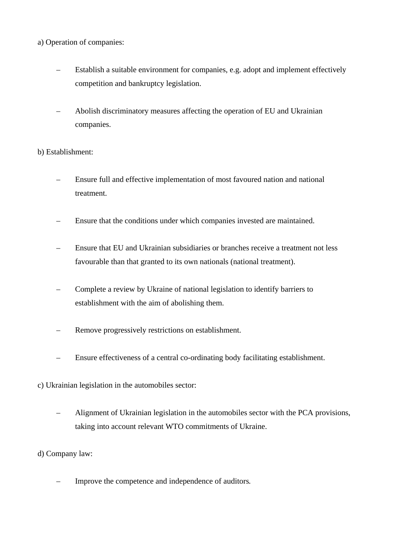# a) Operation of companies:

- Establish a suitable environment for companies, e.g. adopt and implement effectively competition and bankruptcy legislation.
- Abolish discriminatory measures affecting the operation of EU and Ukrainian companies.

b) Establishment:

- Ensure full and effective implementation of most favoured nation and national treatment.
- Ensure that the conditions under which companies invested are maintained.
- Ensure that EU and Ukrainian subsidiaries or branches receive a treatment not less favourable than that granted to its own nationals (national treatment).
- Complete a review by Ukraine of national legislation to identify barriers to establishment with the aim of abolishing them.
- Remove progressively restrictions on establishment.
- Ensure effectiveness of a central co-ordinating body facilitating establishment.
- c) Ukrainian legislation in the automobiles sector:
	- Alignment of Ukrainian legislation in the automobiles sector with the PCA provisions, taking into account relevant WTO commitments of Ukraine.

d) Company law:

– Improve the competence and independence of auditors*.*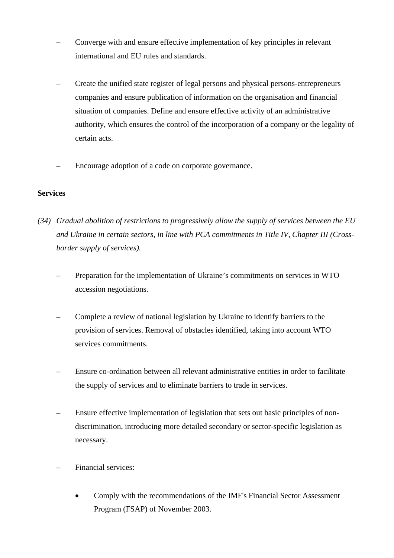- Converge with and ensure effective implementation of key principles in relevant international and EU rules and standards.
- Create the unified state register of legal persons and physical persons-entrepreneurs companies and ensure publication of information on the organisation and financial situation of companies. Define and ensure effective activity of an administrative authority, which ensures the control of the incorporation of a company or the legality of certain acts.
- Encourage adoption of a code on corporate governance.

# **Services**

- *(34) Gradual abolition of restrictions to progressively allow the supply of services between the EU and Ukraine in certain sectors, in line with PCA commitments in Title IV, Chapter III (Crossborder supply of services).* 
	- Preparation for the implementation of Ukraine's commitments on services in WTO accession negotiations.
	- Complete a review of national legislation by Ukraine to identify barriers to the provision of services. Removal of obstacles identified, taking into account WTO services commitments.
	- Ensure co-ordination between all relevant administrative entities in order to facilitate the supply of services and to eliminate barriers to trade in services.
	- Ensure effective implementation of legislation that sets out basic principles of nondiscrimination, introducing more detailed secondary or sector-specific legislation as necessary.
	- Financial services:
		- Comply with the recommendations of the IMF's Financial Sector Assessment Program (FSAP) of November 2003.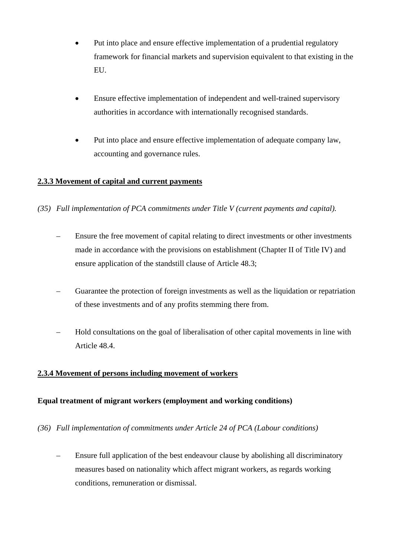- Put into place and ensure effective implementation of a prudential regulatory framework for financial markets and supervision equivalent to that existing in the EU.
- Ensure effective implementation of independent and well-trained supervisory authorities in accordance with internationally recognised standards.
- Put into place and ensure effective implementation of adequate company law, accounting and governance rules.

# **2.3.3 Movement of capital and current payments**

- *(35) Full implementation of PCA commitments under Title V (current payments and capital).* 
	- Ensure the free movement of capital relating to direct investments or other investments made in accordance with the provisions on establishment (Chapter II of Title IV) and ensure application of the standstill clause of Article 48.3;
	- Guarantee the protection of foreign investments as well as the liquidation or repatriation of these investments and of any profits stemming there from.
	- Hold consultations on the goal of liberalisation of other capital movements in line with Article 48.4.

# **2.3.4 Movement of persons including movement of workers**

# **Equal treatment of migrant workers (employment and working conditions)**

- *(36) Full implementation of commitments under Article 24 of PCA (Labour conditions)* 
	- Ensure full application of the best endeavour clause by abolishing all discriminatory measures based on nationality which affect migrant workers, as regards working conditions, remuneration or dismissal.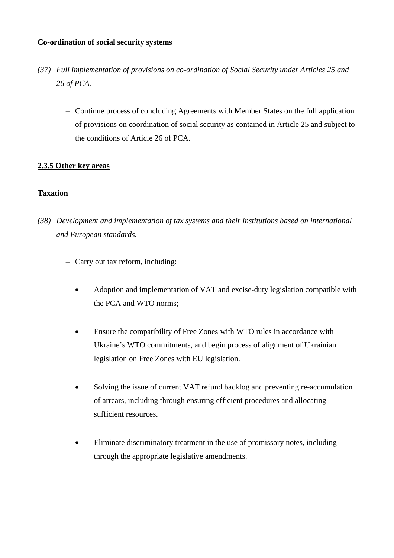### **Co-ordination of social security systems**

- *(37) Full implementation of provisions on co-ordination of Social Security under Articles 25 and 26 of PCA.* 
	- Continue process of concluding Agreements with Member States on the full application of provisions on coordination of social security as contained in Article 25 and subject to the conditions of Article 26 of PCA.

# **2.3.5 Other key areas**

# **Taxation**

- *(38) Development and implementation of tax systems and their institutions based on international and European standards.* 
	- Carry out tax reform, including:
		- Adoption and implementation of VAT and excise-duty legislation compatible with the PCA and WTO norms;
		- Ensure the compatibility of Free Zones with WTO rules in accordance with Ukraine's WTO commitments, and begin process of alignment of Ukrainian legislation on Free Zones with EU legislation.
		- Solving the issue of current VAT refund backlog and preventing re-accumulation of arrears, including through ensuring efficient procedures and allocating sufficient resources.
		- Eliminate discriminatory treatment in the use of promissory notes, including through the appropriate legislative amendments.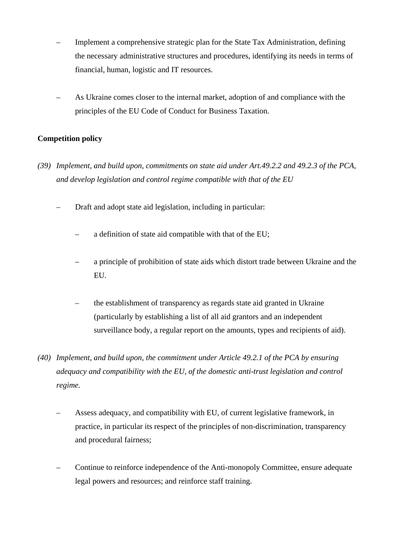- Implement a comprehensive strategic plan for the State Tax Administration, defining the necessary administrative structures and procedures, identifying its needs in terms of financial, human, logistic and IT resources.
- As Ukraine comes closer to the internal market, adoption of and compliance with the principles of the EU Code of Conduct for Business Taxation.

# **Competition policy**

- *(39) Implement, and build upon, commitments on state aid under Art.49.2.2 and 49.2.3 of the PCA, and develop legislation and control regime compatible with that of the EU* 
	- Draft and adopt state aid legislation, including in particular:
		- a definition of state aid compatible with that of the EU;
		- a principle of prohibition of state aids which distort trade between Ukraine and the EU.
		- the establishment of transparency as regards state aid granted in Ukraine (particularly by establishing a list of all aid grantors and an independent surveillance body, a regular report on the amounts, types and recipients of aid).
- *(40) Implement, and build upon, the commitment under Article 49.2.1 of the PCA by ensuring adequacy and compatibility with the EU, of the domestic anti-trust legislation and control regime.* 
	- Assess adequacy, and compatibility with EU, of current legislative framework, in practice, in particular its respect of the principles of non-discrimination, transparency and procedural fairness;
	- Continue to reinforce independence of the Anti-monopoly Committee, ensure adequate legal powers and resources; and reinforce staff training.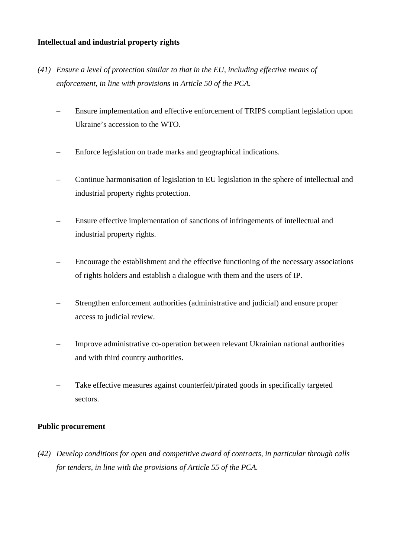## **Intellectual and industrial property rights**

- *(41) Ensure a level of protection similar to that in the EU, including effective means of enforcement, in line with provisions in Article 50 of the PCA.* 
	- Ensure implementation and effective enforcement of TRIPS compliant legislation upon Ukraine's accession to the WTO.
	- Enforce legislation on trade marks and geographical indications.
	- Continue harmonisation of legislation to EU legislation in the sphere of intellectual and industrial property rights protection.
	- Ensure effective implementation of sanctions of infringements of intellectual and industrial property rights.
	- Encourage the establishment and the effective functioning of the necessary associations of rights holders and establish a dialogue with them and the users of IP.
	- Strengthen enforcement authorities (administrative and judicial) and ensure proper access to judicial review.
	- Improve administrative co-operation between relevant Ukrainian national authorities and with third country authorities.
	- Take effective measures against counterfeit/pirated goods in specifically targeted sectors.

#### **Public procurement**

*(42) Develop conditions for open and competitive award of contracts, in particular through calls for tenders, in line with the provisions of Article 55 of the PCA.*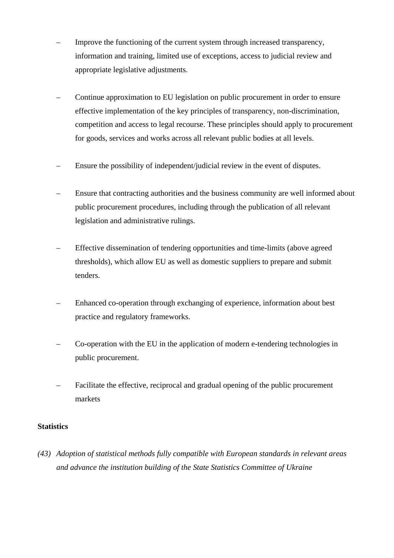- Improve the functioning of the current system through increased transparency, information and training, limited use of exceptions, access to judicial review and appropriate legislative adjustments.
- Continue approximation to EU legislation on public procurement in order to ensure effective implementation of the key principles of transparency, non-discrimination, competition and access to legal recourse. These principles should apply to procurement for goods, services and works across all relevant public bodies at all levels.
- Ensure the possibility of independent/judicial review in the event of disputes.
- Ensure that contracting authorities and the business community are well informed about public procurement procedures, including through the publication of all relevant legislation and administrative rulings.
- Effective dissemination of tendering opportunities and time-limits (above agreed thresholds), which allow EU as well as domestic suppliers to prepare and submit tenders.
- Enhanced co-operation through exchanging of experience, information about best practice and regulatory frameworks.
- Co-operation with the EU in the application of modern e-tendering technologies in public procurement.
- Facilitate the effective, reciprocal and gradual opening of the public procurement markets

# **Statistics**

*(43) Adoption of statistical methods fully compatible with European standards in relevant areas and advance the institution building of the State Statistics Committee of Ukraine*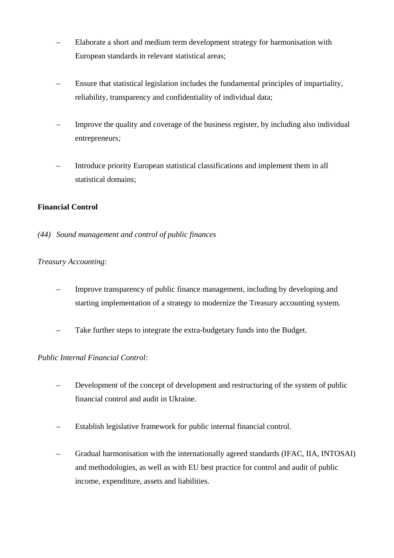- Elaborate a short and medium term development strategy for harmonisation with European standards in relevant statistical areas;
- Ensure that statistical legislation includes the fundamental principles of impartiality, reliability, transparency and confidentiality of individual data;
- Improve the quality and coverage of the business register, by including also individual entrepreneurs*;*
- Introduce priority European statistical classifications and implement them in all statistical domains;

# **Financial Control**

*(44) Sound management and control of public finances* 

# *Treasury Accounting:*

- Improve transparency of public finance management, including by developing and starting implementation of a strategy to modernize the Treasury accounting system*.*
- Take further steps to integrate the extra-budgetary funds into the Budget.

# *Public Internal Financial Control:*

- Development of the concept of development and restructuring of the system of public financial control and audit in Ukraine.
- Establish legislative framework for public internal financial control.
- Gradual harmonisation with the internationally agreed standards (IFAC, IIA, INTOSAI) and methodologies, as well as with EU best practice for control and audit of public income, expenditure, assets and liabilities.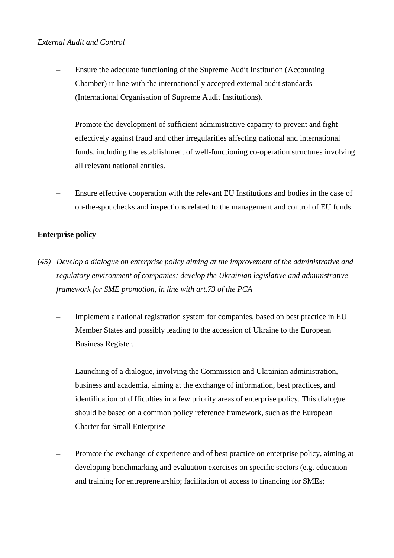## *External Audit and Control*

- Ensure the adequate functioning of the Supreme Audit Institution (Accounting Chamber) in line with the internationally accepted external audit standards (International Organisation of Supreme Audit Institutions).
- Promote the development of sufficient administrative capacity to prevent and fight effectively against fraud and other irregularities affecting national and international funds, including the establishment of well-functioning co-operation structures involving all relevant national entities.
- Ensure effective cooperation with the relevant EU Institutions and bodies in the case of on-the-spot checks and inspections related to the management and control of EU funds.

# **Enterprise policy**

- *(45) Develop a dialogue on enterprise policy aiming at the improvement of the administrative and regulatory environment of companies; develop the Ukrainian legislative and administrative framework for SME promotion, in line with art.73 of the PCA* 
	- Implement a national registration system for companies, based on best practice in EU Member States and possibly leading to the accession of Ukraine to the European Business Register.
	- Launching of a dialogue, involving the Commission and Ukrainian administration, business and academia, aiming at the exchange of information, best practices, and identification of difficulties in a few priority areas of enterprise policy. This dialogue should be based on a common policy reference framework, such as the European Charter for Small Enterprise
	- Promote the exchange of experience and of best practice on enterprise policy, aiming at developing benchmarking and evaluation exercises on specific sectors (e.g. education and training for entrepreneurship; facilitation of access to financing for SMEs;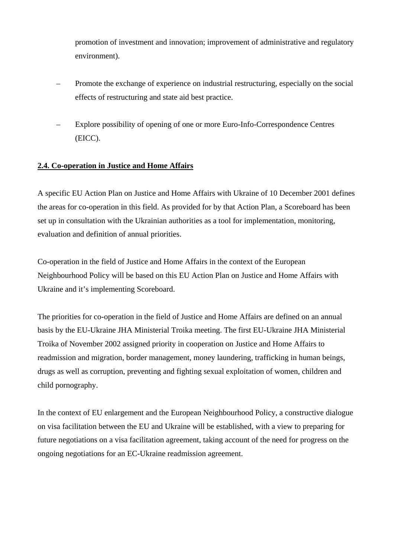promotion of investment and innovation; improvement of administrative and regulatory environment).

- Promote the exchange of experience on industrial restructuring, especially on the social effects of restructuring and state aid best practice.
- Explore possibility of opening of one or more Euro-Info-Correspondence Centres (EICC).

# **2.4. Co-operation in Justice and Home Affairs**

A specific EU Action Plan on Justice and Home Affairs with Ukraine of 10 December 2001 defines the areas for co-operation in this field. As provided for by that Action Plan, a Scoreboard has been set up in consultation with the Ukrainian authorities as a tool for implementation, monitoring, evaluation and definition of annual priorities.

Co-operation in the field of Justice and Home Affairs in the context of the European Neighbourhood Policy will be based on this EU Action Plan on Justice and Home Affairs with Ukraine and it's implementing Scoreboard.

The priorities for co-operation in the field of Justice and Home Affairs are defined on an annual basis by the EU-Ukraine JHA Ministerial Troika meeting. The first EU-Ukraine JHA Ministerial Troika of November 2002 assigned priority in cooperation on Justice and Home Affairs to readmission and migration, border management, money laundering, trafficking in human beings, drugs as well as corruption, preventing and fighting sexual exploitation of women, children and child pornography.

In the context of EU enlargement and the European Neighbourhood Policy, a constructive dialogue on visa facilitation between the EU and Ukraine will be established, with a view to preparing for future negotiations on a visa facilitation agreement, taking account of the need for progress on the ongoing negotiations for an EC-Ukraine readmission agreement.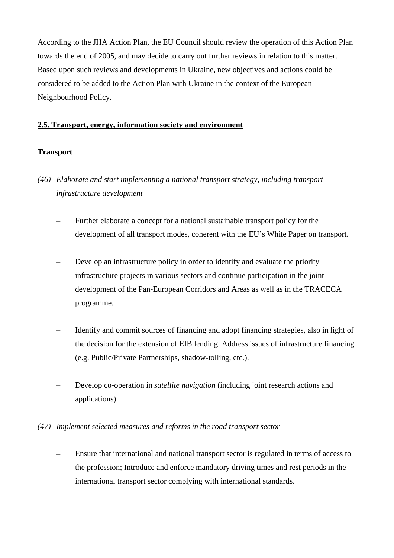According to the JHA Action Plan, the EU Council should review the operation of this Action Plan towards the end of 2005, and may decide to carry out further reviews in relation to this matter. Based upon such reviews and developments in Ukraine, new objectives and actions could be considered to be added to the Action Plan with Ukraine in the context of the European Neighbourhood Policy.

## **2.5. Transport, energy, information society and environment**

# **Transport**

- *(46) Elaborate and start implementing a national transport strategy, including transport infrastructure development* 
	- Further elaborate a concept for a national sustainable transport policy for the development of all transport modes, coherent with the EU's White Paper on transport.
	- Develop an infrastructure policy in order to identify and evaluate the priority infrastructure projects in various sectors and continue participation in the joint development of the Pan-European Corridors and Areas as well as in the TRACECA programme.
	- Identify and commit sources of financing and adopt financing strategies, also in light of the decision for the extension of EIB lending. Address issues of infrastructure financing (e.g. Public/Private Partnerships, shadow-tolling, etc.).
	- Develop co-operation in *satellite navigation* (including joint research actions and applications)

#### *(47) Implement selected measures and reforms in the road transport sector*

 – Ensure that international and national transport sector is regulated in terms of access to the profession; Introduce and enforce mandatory driving times and rest periods in the international transport sector complying with international standards.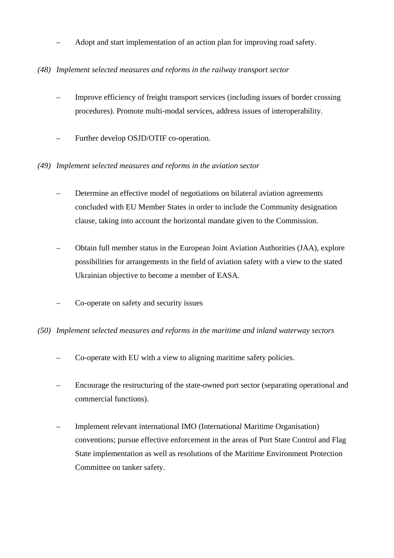– Adopt and start implementation of an action plan for improving road safety.

# *(48) Implement selected measures and reforms in the railway transport sector*

- Improve efficiency of freight transport services (including issues of border crossing procedures). Promote multi-modal services, address issues of interoperability.
- Further develop OSJD/OTIF co-operation.
- *(49) Implement selected measures and reforms in the aviation sector* 
	- Determine an effective model of negotiations on bilateral aviation agreements concluded with EU Member States in order to include the Community designation clause, taking into account the horizontal mandate given to the Commission.
	- Obtain full member status in the European Joint Aviation Authorities (JAA), explore possibilities for arrangements in the field of aviation safety with a view to the stated Ukrainian objective to become a member of EASA.
	- Co-operate on safety and security issues

# *(50) Implement selected measures and reforms in the maritime and inland waterway sectors*

- Co-operate with EU with a view to aligning maritime safety policies.
- Encourage the restructuring of the state-owned port sector (separating operational and commercial functions).
- Implement relevant international IMO (International Maritime Organisation) conventions; pursue effective enforcement in the areas of Port State Control and Flag State implementation as well as resolutions of the Maritime Environment Protection Committee on tanker safety.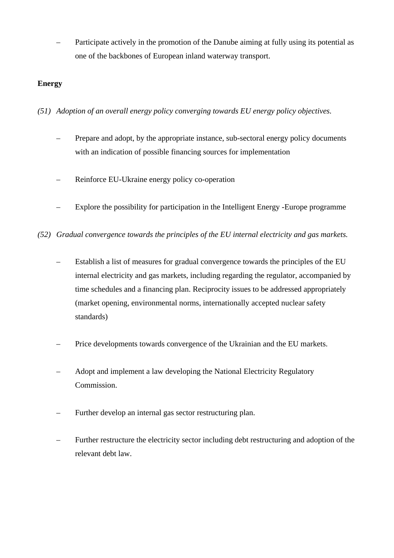– Participate actively in the promotion of the Danube aiming at fully using its potential as one of the backbones of European inland waterway transport.

# **Energy**

*(51) Adoption of an overall energy policy converging towards EU energy policy objectives.* 

- Prepare and adopt, by the appropriate instance, sub-sectoral energy policy documents with an indication of possible financing sources for implementation
- Reinforce EU-Ukraine energy policy co-operation
- Explore the possibility for participation in the Intelligent Energy -Europe programme
- *(52) Gradual convergence towards the principles of the EU internal electricity and gas markets.* 
	- Establish a list of measures for gradual convergence towards the principles of the EU internal electricity and gas markets, including regarding the regulator, accompanied by time schedules and a financing plan. Reciprocity issues to be addressed appropriately (market opening, environmental norms, internationally accepted nuclear safety standards)
	- Price developments towards convergence of the Ukrainian and the EU markets.
	- Adopt and implement a law developing the National Electricity Regulatory Commission.
	- Further develop an internal gas sector restructuring plan.
	- Further restructure the electricity sector including debt restructuring and adoption of the relevant debt law.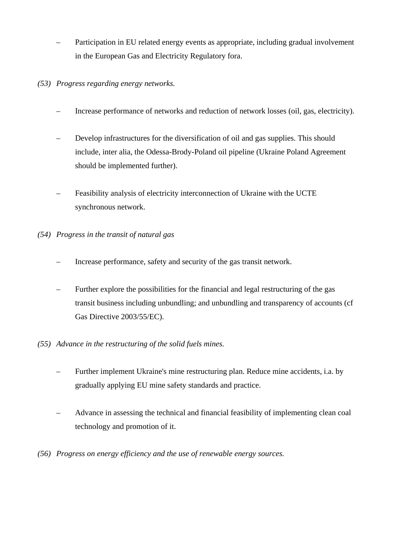- Participation in EU related energy events as appropriate, including gradual involvement in the European Gas and Electricity Regulatory fora.
- *(53) Progress regarding energy networks.* 
	- Increase performance of networks and reduction of network losses (oil, gas, electricity).
	- Develop infrastructures for the diversification of oil and gas supplies. This should include, inter alia, the Odessa-Brody-Poland oil pipeline (Ukraine Poland Agreement should be implemented further).
	- Feasibility analysis of electricity interconnection of Ukraine with the UCTE synchronous network.
- *(54) Progress in the transit of natural gas* 
	- Increase performance, safety and security of the gas transit network.
	- Further explore the possibilities for the financial and legal restructuring of the gas transit business including unbundling; and unbundling and transparency of accounts (cf Gas Directive 2003/55/EC).
- *(55) Advance in the restructuring of the solid fuels mines.* 
	- Further implement Ukraine's mine restructuring plan. Reduce mine accidents, i.a. by gradually applying EU mine safety standards and practice.
	- Advance in assessing the technical and financial feasibility of implementing clean coal technology and promotion of it.
- *(56) Progress on energy efficiency and the use of renewable energy sources.*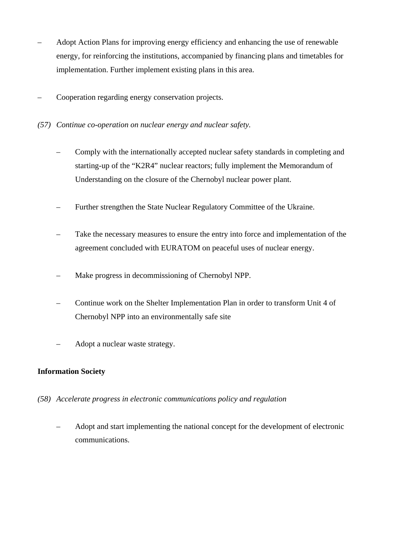- Adopt Action Plans for improving energy efficiency and enhancing the use of renewable energy, for reinforcing the institutions, accompanied by financing plans and timetables for implementation. Further implement existing plans in this area.
- Cooperation regarding energy conservation projects.
- *(57) Continue co-operation on nuclear energy and nuclear safety.* 
	- Comply with the internationally accepted nuclear safety standards in completing and starting-up of the "K2R4" nuclear reactors; fully implement the Memorandum of Understanding on the closure of the Chernobyl nuclear power plant.
	- Further strengthen the State Nuclear Regulatory Committee of the Ukraine.
	- Take the necessary measures to ensure the entry into force and implementation of the agreement concluded with EURATOM on peaceful uses of nuclear energy.
	- Make progress in decommissioning of Chernobyl NPP.
	- Continue work on the Shelter Implementation Plan in order to transform Unit 4 of Chernobyl NPP into an environmentally safe site
	- Adopt a nuclear waste strategy.

# **Information Society**

- *(58) Accelerate progress in electronic communications policy and regulation* 
	- Adopt and start implementing the national concept for the development of electronic communications.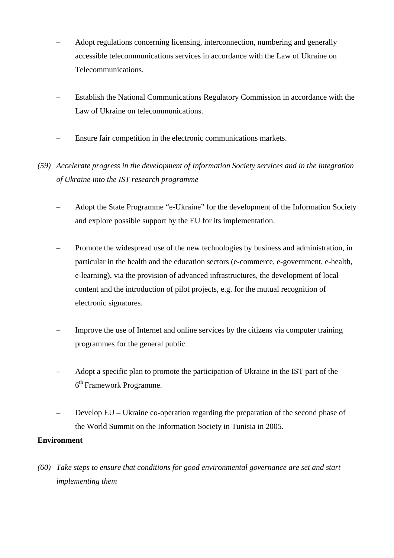- Adopt regulations concerning licensing, interconnection, numbering and generally accessible telecommunications services in accordance with the Law of Ukraine on Telecommunications.
- Establish the National Communications Regulatory Commission in accordance with the Law of Ukraine on telecommunications.
- Ensure fair competition in the electronic communications markets.

# *(59) Accelerate progress in the development of Information Society services and in the integration of Ukraine into the IST research programme*

- Adopt the State Programme "e-Ukraine" for the development of the Information Society and explore possible support by the EU for its implementation.
- Promote the widespread use of the new technologies by business and administration, in particular in the health and the education sectors (e-commerce, e-government, e-health, e-learning), via the provision of advanced infrastructures, the development of local content and the introduction of pilot projects, e.g. for the mutual recognition of electronic signatures.
- Improve the use of Internet and online services by the citizens via computer training programmes for the general public.
- Adopt a specific plan to promote the participation of Ukraine in the IST part of the 6th Framework Programme.
- Develop EU Ukraine co-operation regarding the preparation of the second phase of the World Summit on the Information Society in Tunisia in 2005.

# **Environment**

*(60) Take steps to ensure that conditions for good environmental governance are set and start implementing them*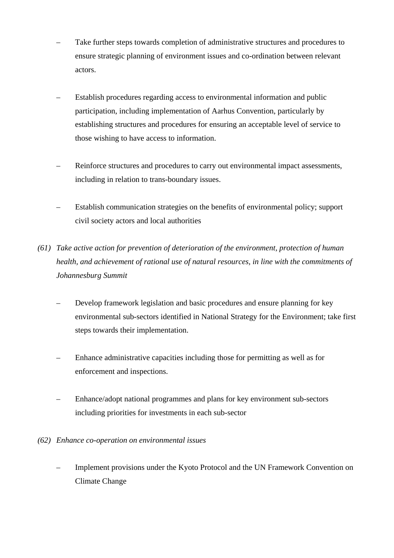- Take further steps towards completion of administrative structures and procedures to ensure strategic planning of environment issues and co-ordination between relevant actors.
- Establish procedures regarding access to environmental information and public participation, including implementation of Aarhus Convention, particularly by establishing structures and procedures for ensuring an acceptable level of service to those wishing to have access to information.
- Reinforce structures and procedures to carry out environmental impact assessments, including in relation to trans-boundary issues.
- Establish communication strategies on the benefits of environmental policy; support civil society actors and local authorities
- *(61) Take active action for prevention of deterioration of the environment, protection of human health, and achievement of rational use of natural resources, in line with the commitments of Johannesburg Summit* 
	- Develop framework legislation and basic procedures and ensure planning for key environmental sub-sectors identified in National Strategy for the Environment; take first steps towards their implementation.
	- Enhance administrative capacities including those for permitting as well as for enforcement and inspections.
	- Enhance/adopt national programmes and plans for key environment sub-sectors including priorities for investments in each sub-sector
- *(62) Enhance co-operation on environmental issues* 
	- Implement provisions under the Kyoto Protocol and the UN Framework Convention on Climate Change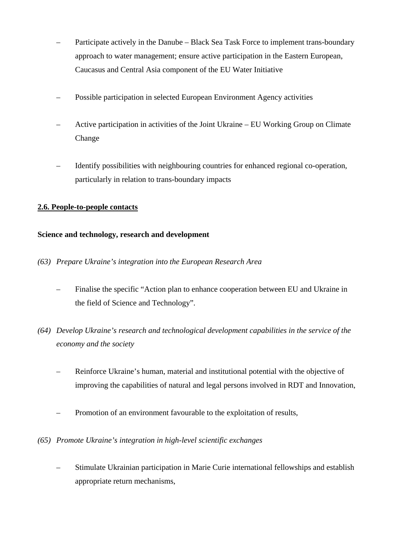- Participate actively in the Danube Black Sea Task Force to implement trans-boundary approach to water management; ensure active participation in the Eastern European, Caucasus and Central Asia component of the EU Water Initiative
- Possible participation in selected European Environment Agency activities
- Active participation in activities of the Joint Ukraine EU Working Group on Climate Change
- Identify possibilities with neighbouring countries for enhanced regional co-operation*,*  particularly in relation to trans-boundary impacts

# **2.6. People-to-people contacts**

## **Science and technology, research and development**

- *(63) Prepare Ukraine's integration into the European Research Area* 
	- Finalise the specific "Action plan to enhance cooperation between EU and Ukraine in the field of Science and Technology"*.*
- *(64) Develop Ukraine's research and technological development capabilities in the service of the economy and the society* 
	- Reinforce Ukraine's human, material and institutional potential with the objective of improving the capabilities of natural and legal persons involved in RDT and Innovation,
	- Promotion of an environment favourable to the exploitation of results,
- *(65) Promote Ukraine's integration in high-level scientific exchanges* 
	- Stimulate Ukrainian participation in Marie Curie international fellowships and establish appropriate return mechanisms,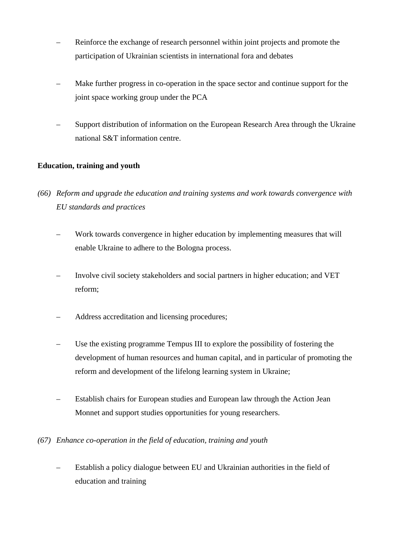- Reinforce the exchange of research personnel within joint projects and promote the participation of Ukrainian scientists in international fora and debates
- Make further progress in co-operation in the space sector and continue support for the joint space working group under the PCA
- Support distribution of information on the European Research Area through the Ukraine national S&T information centre.

# **Education, training and youth**

- *(66) Reform and upgrade the education and training systems and work towards convergence with EU standards and practices* 
	- Work towards convergence in higher education by implementing measures that will enable Ukraine to adhere to the Bologna process.
	- Involve civil society stakeholders and social partners in higher education; and VET reform;
	- Address accreditation and licensing procedures;
	- Use the existing programme Tempus III to explore the possibility of fostering the development of human resources and human capital, and in particular of promoting the reform and development of the lifelong learning system in Ukraine;
	- Establish chairs for European studies and European law through the Action Jean Monnet and support studies opportunities for young researchers.
- *(67) Enhance co-operation in the field of education, training and youth* 
	- Establish a policy dialogue between EU and Ukrainian authorities in the field of education and training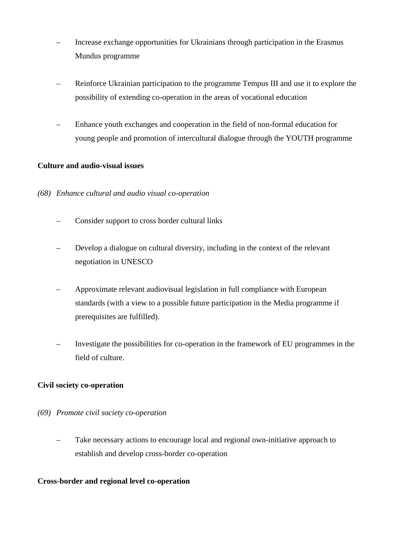- Increase exchange opportunities for Ukrainians through participation in the Erasmus Mundus programme
- Reinforce Ukrainian participation to the programme Tempus III and use it to explore the possibility of extending co-operation in the areas of vocational education
- Enhance youth exchanges and cooperation in the field of non-formal education for young people and promotion of intercultural dialogue through the YOUTH programme

# **Culture and audio-visual issues**

## *(68) Enhance cultural and audio visual co-operation*

- Consider support to cross border cultural links
- Develop a dialogue on cultural diversity, including in the context of the relevant negotiation in UNESCO
- Approximate relevant audiovisual legislation in full compliance with European standards (with a view to a possible future participation in the Media programme if prerequisites are fulfilled).
- Investigate the possibilities for co-operation in the framework of EU programmes in the field of culture.

#### **Civil society co-operation**

#### *(69) Promote civil society co-operation*

 – Take necessary actions to encourage local and regional own-initiative approach to establish and develop cross-border co-operation

#### **Cross-border and regional level co-operation**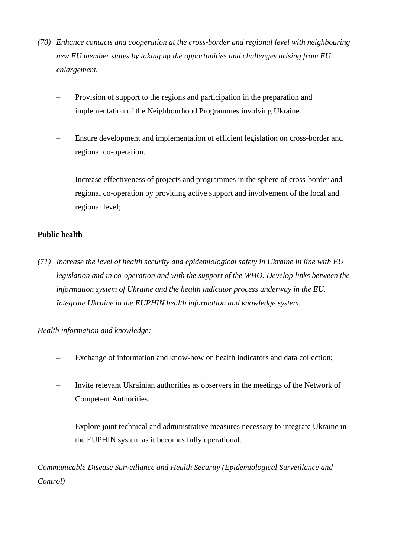- *(70) Enhance contacts and cooperation at the cross-border and regional level with neighbouring new EU member states by taking up the opportunities and challenges arising from EU enlargement.* 
	- Provision of support to the regions and participation in the preparation and implementation of the Neighbourhood Programmes involving Ukraine.
	- Ensure development and implementation of efficient legislation on cross-border and regional co-operation.
	- Increase effectiveness of projects and programmes in the sphere of cross-border and regional co-operation by providing active support and involvement of the local and regional level;

# **Public health**

*(71) Increase the level of health security and epidemiological safety in Ukraine in line with EU*  legislation and in co-operation and with the support of the WHO. Develop links between the *information system of Ukraine and the health indicator process underway in the EU. Integrate Ukraine in the EUPHIN health information and knowledge system.* 

# *Health information and knowledge:*

- Exchange of information and know-how on health indicators and data collection;
- Invite relevant Ukrainian authorities as observers in the meetings of the Network of Competent Authorities.
- Explore joint technical and administrative measures necessary to integrate Ukraine in the EUPHIN system as it becomes fully operational.

*Communicable Disease Surveillance and Health Security (Epidemiological Surveillance and Control)*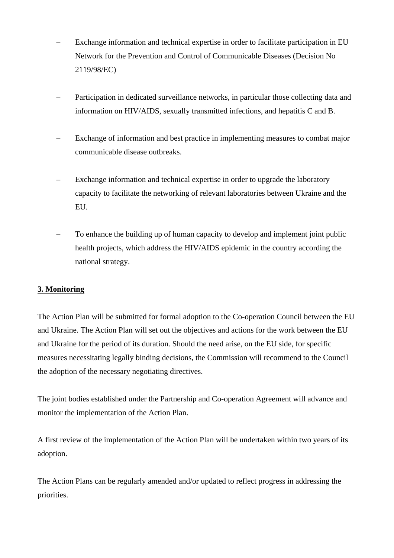- Exchange information and technical expertise in order to facilitate participation in EU Network for the Prevention and Control of Communicable Diseases (Decision No 2119/98/EC)
- Participation in dedicated surveillance networks, in particular those collecting data and information on HIV/AIDS, sexually transmitted infections, and hepatitis C and B.
- Exchange of information and best practice in implementing measures to combat major communicable disease outbreaks.
- Exchange information and technical expertise in order to upgrade the laboratory capacity to facilitate the networking of relevant laboratories between Ukraine and the EU.
- To enhance the building up of human capacity to develop and implement joint public health projects, which address the HIV/AIDS epidemic in the country according the national strategy.

# **3. Monitoring**

The Action Plan will be submitted for formal adoption to the Co-operation Council between the EU and Ukraine. The Action Plan will set out the objectives and actions for the work between the EU and Ukraine for the period of its duration. Should the need arise, on the EU side, for specific measures necessitating legally binding decisions, the Commission will recommend to the Council the adoption of the necessary negotiating directives.

The joint bodies established under the Partnership and Co-operation Agreement will advance and monitor the implementation of the Action Plan.

A first review of the implementation of the Action Plan will be undertaken within two years of its adoption.

The Action Plans can be regularly amended and/or updated to reflect progress in addressing the priorities.